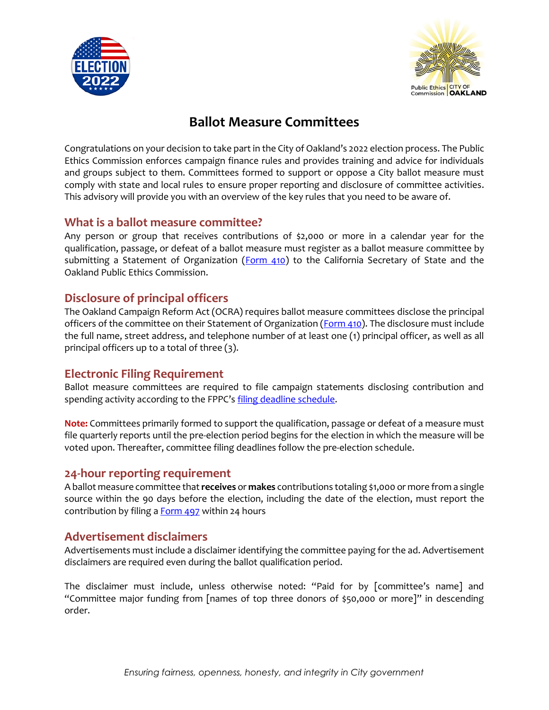



# **Ballot Measure Committees**

Congratulations on your decision to take part in the City of Oakland's 2022 election process. The Public Ethics Commission enforces campaign finance rules and provides training and advice for individuals and groups subject to them. Committees formed to support or oppose a City ballot measure must comply with state and local rules to ensure proper reporting and disclosure of committee activities. This advisory will provide you with an overview of the key rules that you need to be aware of.

### **What is a ballot measure committee?**

Any person or group that receives contributions of \$2,000 or more in a calendar year for the qualification, passage, or defeat of a ballot measure must register as a ballot measure committee by submitting a Statement of Organization ( $Form 410$ ) to the California Secretary of State and the Oakland Public Ethics Commission.

## **Disclosure of principal officers**

The Oakland Campaign Reform Act (OCRA) requires ballot measure committees disclose the principal officers of the committee on their Statement of Organization [\(Form 410\)](http://www.fppc.ca.gov/content/dam/fppc/NS-Documents/TAD/Campaign%20Forms/410.pdf). The disclosure must include the full name, street address, and telephone number of at least one (1) principal officer, as well as all principal officers up to a total of three (3).

## **Electronic Filing Requirement**

Ballot measure committees are required to file campaign statements disclosing contribution and spending activity according to the FPPC's [filing deadline schedule.](https://www.fppc.ca.gov/content/dam/fppc/NS-Documents/TAD/Filing%20Schedules/2022-/local-november-2022/2022_03_LCL_PF_BM_Final.pdf)

**Note:** Committees primarily formed to support the qualification, passage or defeat of a measure must file quarterly reports until the pre-election period begins for the election in which the measure will be voted upon. Thereafter, committee filing deadlines follow the pre-election schedule.

### **24-hour reporting requirement**

A ballot measure committee that **receives** or **makes** contributions totaling \$1,000 or more from a single source within the 90 days before the election, including the date of the election, must report the contribution by filing a **Form 497** within 24 hours

### **Advertisement disclaimers**

Advertisements must include a disclaimer identifying the committee paying for the ad. Advertisement disclaimers are required even during the ballot qualification period.

The disclaimer must include, unless otherwise noted: "Paid for by [committee's name] and "Committee major funding from [names of top three donors of \$50,000 or more]" in descending order.